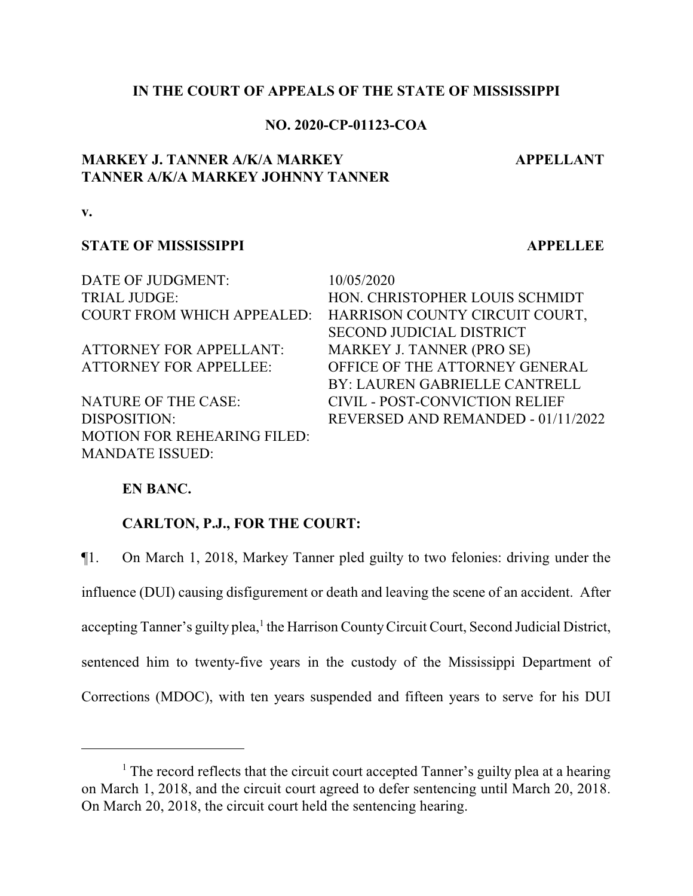## **IN THE COURT OF APPEALS OF THE STATE OF MISSISSIPPI**

## **NO. 2020-CP-01123-COA**

# **MARKEY J. TANNER A/K/A MARKEY TANNER A/K/A MARKEY JOHNNY TANNER**

**APPELLANT**

**v.**

#### **STATE OF MISSISSIPPI APPELLEE**

DATE OF JUDGMENT: 10/05/2020

MOTION FOR REHEARING FILED: MANDATE ISSUED:

TRIAL JUDGE: HON. CHRISTOPHER LOUIS SCHMIDT COURT FROM WHICH APPEALED: HARRISON COUNTY CIRCUIT COURT, SECOND JUDICIAL DISTRICT ATTORNEY FOR APPELLANT: MARKEY J. TANNER (PRO SE) ATTORNEY FOR APPELLEE: OFFICE OF THE ATTORNEY GENERAL BY: LAUREN GABRIELLE CANTRELL NATURE OF THE CASE: CIVIL - POST-CONVICTION RELIEF DISPOSITION: REVERSED AND REMANDED - 01/11/2022

## **EN BANC.**

#### **CARLTON, P.J., FOR THE COURT:**

¶1. On March 1, 2018, Markey Tanner pled guilty to two felonies: driving under the influence (DUI) causing disfigurement or death and leaving the scene of an accident. After accepting Tanner's guilty plea,<sup>1</sup> the Harrison County Circuit Court, Second Judicial District, sentenced him to twenty-five years in the custody of the Mississippi Department of Corrections (MDOC), with ten years suspended and fifteen years to serve for his DUI

<sup>&</sup>lt;sup>1</sup> The record reflects that the circuit court accepted Tanner's guilty plea at a hearing on March 1, 2018, and the circuit court agreed to defer sentencing until March 20, 2018. On March 20, 2018, the circuit court held the sentencing hearing.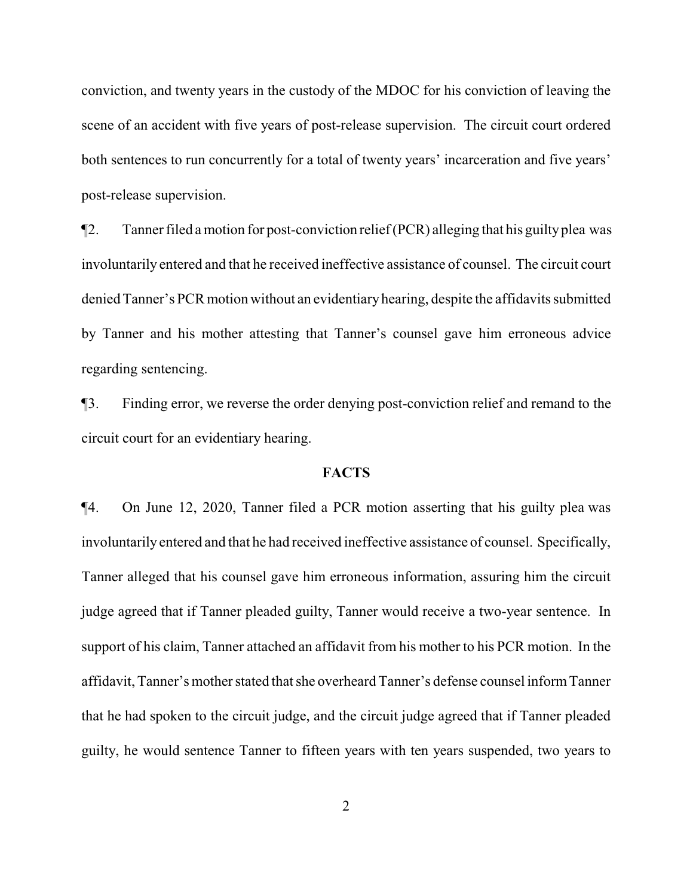conviction, and twenty years in the custody of the MDOC for his conviction of leaving the scene of an accident with five years of post-release supervision. The circuit court ordered both sentences to run concurrently for a total of twenty years' incarceration and five years' post-release supervision.

¶2. Tanner filed a motion for post-conviction relief(PCR) alleging that his guiltyplea was involuntarily entered and that he received ineffective assistance of counsel. The circuit court denied Tanner's PCR motion without an evidentiaryhearing, despite the affidavits submitted by Tanner and his mother attesting that Tanner's counsel gave him erroneous advice regarding sentencing.

¶3. Finding error, we reverse the order denying post-conviction relief and remand to the circuit court for an evidentiary hearing.

## **FACTS**

¶4. On June 12, 2020, Tanner filed a PCR motion asserting that his guilty plea was involuntarily entered and that he had received ineffective assistance of counsel. Specifically, Tanner alleged that his counsel gave him erroneous information, assuring him the circuit judge agreed that if Tanner pleaded guilty, Tanner would receive a two-year sentence. In support of his claim, Tanner attached an affidavit from his mother to his PCR motion. In the affidavit, Tanner's mother stated that she overheard Tanner's defense counsel informTanner that he had spoken to the circuit judge, and the circuit judge agreed that if Tanner pleaded guilty, he would sentence Tanner to fifteen years with ten years suspended, two years to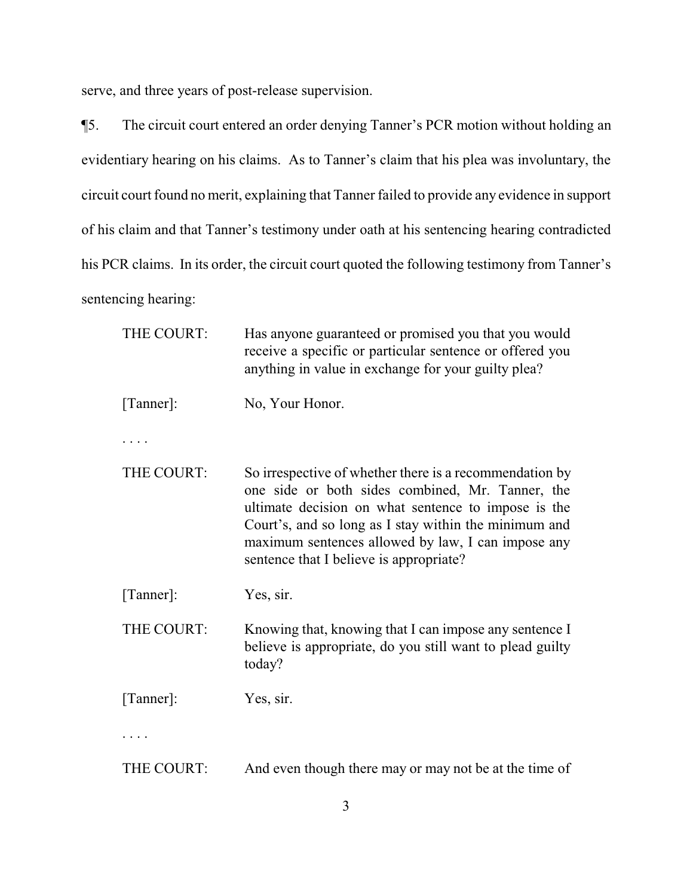serve, and three years of post-release supervision.

¶5. The circuit court entered an order denying Tanner's PCR motion without holding an evidentiary hearing on his claims. As to Tanner's claim that his plea was involuntary, the circuit court found no merit, explaining that Tanner failed to provide any evidence in support of his claim and that Tanner's testimony under oath at his sentencing hearing contradicted his PCR claims. In its order, the circuit court quoted the following testimony from Tanner's sentencing hearing:

| THE COURT: | Has anyone guaranteed or promised you that you would<br>receive a specific or particular sentence or offered you<br>anything in value in exchange for your guilty plea?                                                                                                                                                      |
|------------|------------------------------------------------------------------------------------------------------------------------------------------------------------------------------------------------------------------------------------------------------------------------------------------------------------------------------|
| [Tanner]:  | No, Your Honor.                                                                                                                                                                                                                                                                                                              |
| $\cdots$   |                                                                                                                                                                                                                                                                                                                              |
| THE COURT: | So irrespective of whether there is a recommendation by<br>one side or both sides combined, Mr. Tanner, the<br>ultimate decision on what sentence to impose is the<br>Court's, and so long as I stay within the minimum and<br>maximum sentences allowed by law, I can impose any<br>sentence that I believe is appropriate? |
| [Tanner]:  | Yes, sir.                                                                                                                                                                                                                                                                                                                    |
| THE COURT: | Knowing that, knowing that I can impose any sentence I<br>believe is appropriate, do you still want to plead guilty<br>today?                                                                                                                                                                                                |
| [Tanner]:  | Yes, sir.                                                                                                                                                                                                                                                                                                                    |
|            |                                                                                                                                                                                                                                                                                                                              |
| THE COURT: | And even though there may or may not be at the time of                                                                                                                                                                                                                                                                       |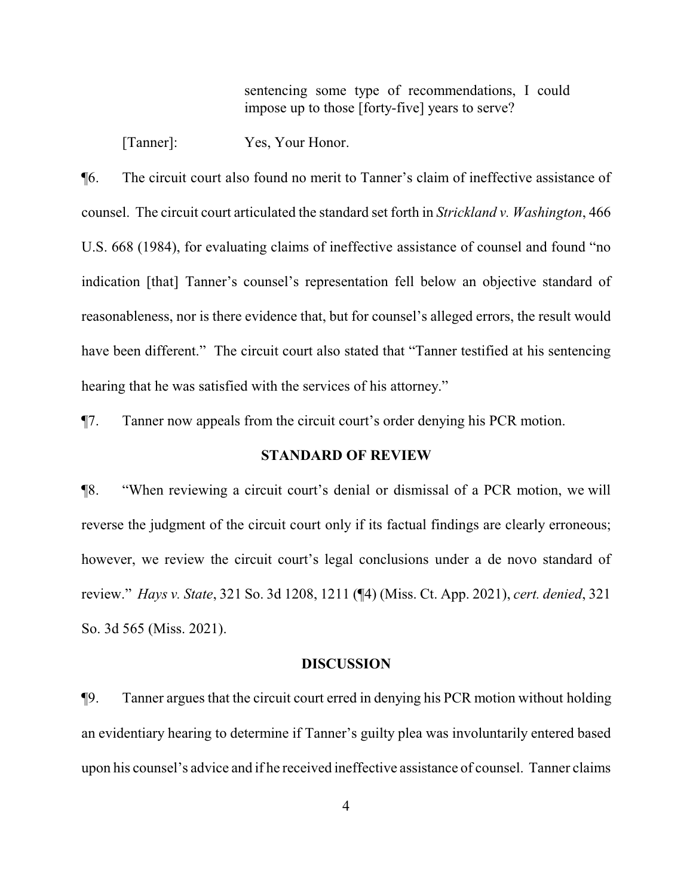sentencing some type of recommendations, I could impose up to those [forty-five] years to serve?

[Tanner]: Yes, Your Honor.

¶6. The circuit court also found no merit to Tanner's claim of ineffective assistance of counsel. The circuit court articulated the standard set forth in *Strickland v. Washington*, 466 U.S. 668 (1984), for evaluating claims of ineffective assistance of counsel and found "no indication [that] Tanner's counsel's representation fell below an objective standard of reasonableness, nor is there evidence that, but for counsel's alleged errors, the result would have been different." The circuit court also stated that "Tanner testified at his sentencing hearing that he was satisfied with the services of his attorney."

¶7. Tanner now appeals from the circuit court's order denying his PCR motion.

## **STANDARD OF REVIEW**

¶8. "When reviewing a circuit court's denial or dismissal of a PCR motion, we will reverse the judgment of the circuit court only if its factual findings are clearly erroneous; however, we review the circuit court's legal conclusions under a de novo standard of review." *Hays v. State*, 321 So. 3d 1208, 1211 (¶4) (Miss. Ct. App. 2021), *cert. denied*, 321 So. 3d 565 (Miss. 2021).

#### **DISCUSSION**

¶9. Tanner argues that the circuit court erred in denying his PCR motion without holding an evidentiary hearing to determine if Tanner's guilty plea was involuntarily entered based upon his counsel's advice and if he received ineffective assistance of counsel. Tanner claims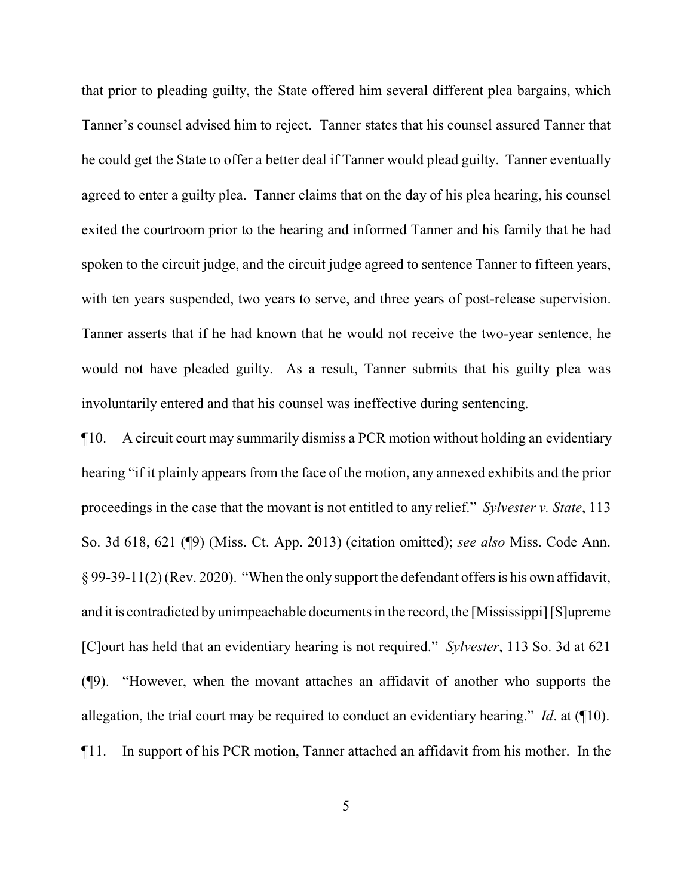that prior to pleading guilty, the State offered him several different plea bargains, which Tanner's counsel advised him to reject. Tanner states that his counsel assured Tanner that he could get the State to offer a better deal if Tanner would plead guilty. Tanner eventually agreed to enter a guilty plea. Tanner claims that on the day of his plea hearing, his counsel exited the courtroom prior to the hearing and informed Tanner and his family that he had spoken to the circuit judge, and the circuit judge agreed to sentence Tanner to fifteen years, with ten years suspended, two years to serve, and three years of post-release supervision. Tanner asserts that if he had known that he would not receive the two-year sentence, he would not have pleaded guilty. As a result, Tanner submits that his guilty plea was involuntarily entered and that his counsel was ineffective during sentencing.

¶10. A circuit court may summarily dismiss a PCR motion without holding an evidentiary hearing "if it plainly appears from the face of the motion, any annexed exhibits and the prior proceedings in the case that the movant is not entitled to any relief." *Sylvester v. State*, 113 So. 3d 618, 621 (¶9) (Miss. Ct. App. 2013) (citation omitted); *see also* Miss. Code Ann. § 99-39-11(2) (Rev. 2020). "When the only support the defendant offers is his own affidavit, and it is contradicted byunimpeachable documents in the record, the [Mississippi] [S]upreme [C]ourt has held that an evidentiary hearing is not required." *Sylvester*, 113 So. 3d at 621 (¶9). "However, when the movant attaches an affidavit of another who supports the allegation, the trial court may be required to conduct an evidentiary hearing." *Id*. at (¶10). ¶11. In support of his PCR motion, Tanner attached an affidavit from his mother. In the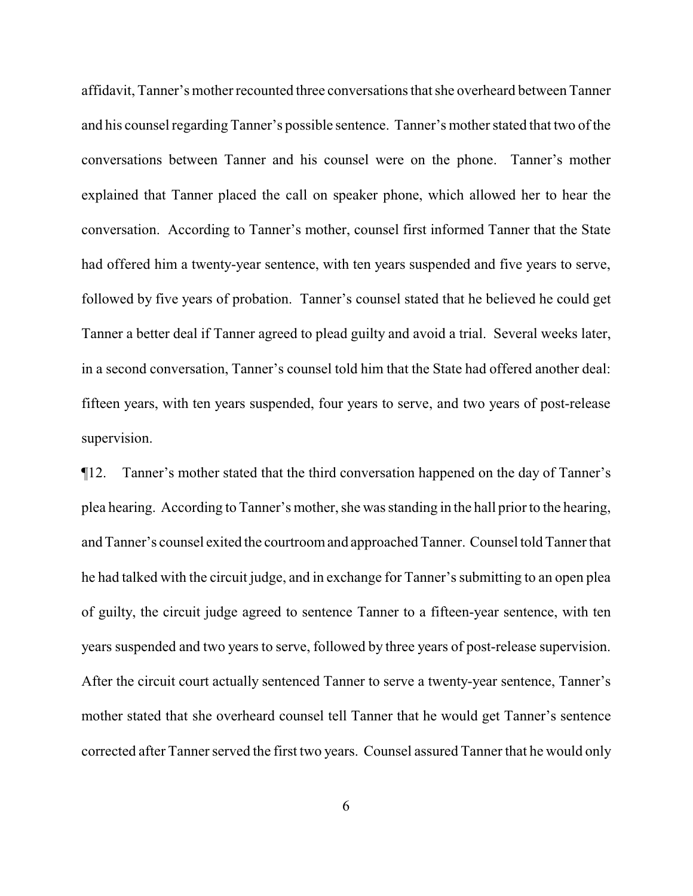affidavit, Tanner's mother recounted three conversations that she overheard between Tanner and his counsel regarding Tanner's possible sentence. Tanner's mother stated that two of the conversations between Tanner and his counsel were on the phone. Tanner's mother explained that Tanner placed the call on speaker phone, which allowed her to hear the conversation. According to Tanner's mother, counsel first informed Tanner that the State had offered him a twenty-year sentence, with ten years suspended and five years to serve, followed by five years of probation. Tanner's counsel stated that he believed he could get Tanner a better deal if Tanner agreed to plead guilty and avoid a trial. Several weeks later, in a second conversation, Tanner's counsel told him that the State had offered another deal: fifteen years, with ten years suspended, four years to serve, and two years of post-release supervision.

¶12. Tanner's mother stated that the third conversation happened on the day of Tanner's plea hearing. According to Tanner's mother, she was standing in the hall prior to the hearing, and Tanner's counsel exited the courtroomand approached Tanner. Counsel told Tanner that he had talked with the circuit judge, and in exchange for Tanner's submitting to an open plea of guilty, the circuit judge agreed to sentence Tanner to a fifteen-year sentence, with ten years suspended and two years to serve, followed by three years of post-release supervision. After the circuit court actually sentenced Tanner to serve a twenty-year sentence, Tanner's mother stated that she overheard counsel tell Tanner that he would get Tanner's sentence corrected after Tanner served the first two years. Counsel assured Tanner that he would only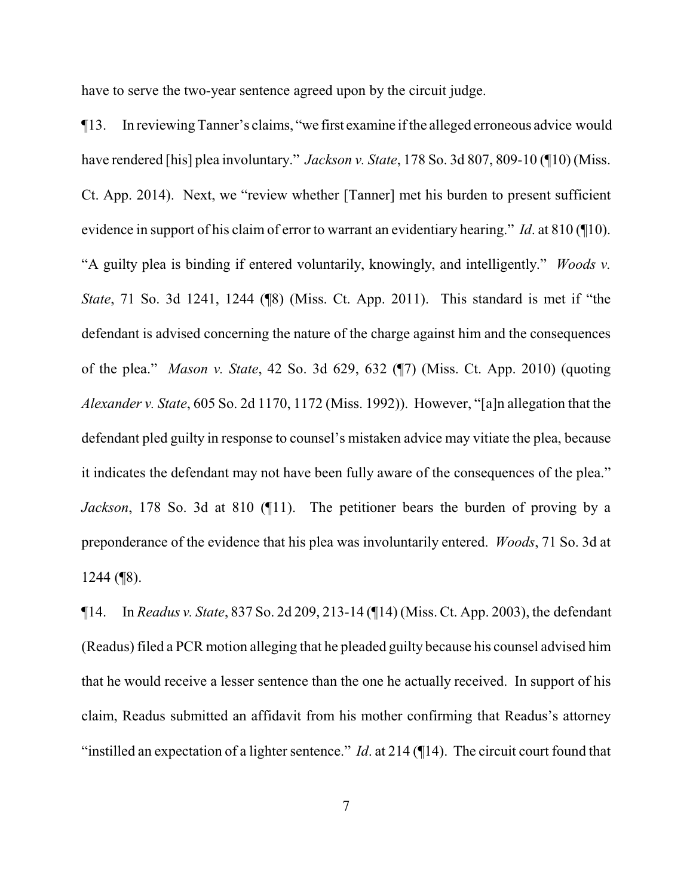have to serve the two-year sentence agreed upon by the circuit judge.

¶13. In reviewing Tanner's claims, "we first examine ifthe alleged erroneous advice would have rendered [his] plea involuntary." *Jackson v. State*, 178 So. 3d 807, 809-10 (¶10) (Miss. Ct. App. 2014). Next, we "review whether [Tanner] met his burden to present sufficient evidence in support of his claim of error to warrant an evidentiary hearing." *Id*. at 810 (¶10). "A guilty plea is binding if entered voluntarily, knowingly, and intelligently." *Woods v. State*, 71 So. 3d 1241, 1244 (¶8) (Miss. Ct. App. 2011). This standard is met if "the defendant is advised concerning the nature of the charge against him and the consequences of the plea." *Mason v. State*, 42 So. 3d 629, 632 (¶7) (Miss. Ct. App. 2010) (quoting *Alexander v. State*, 605 So. 2d 1170, 1172 (Miss. 1992)). However, "[a]n allegation that the defendant pled guilty in response to counsel's mistaken advice may vitiate the plea, because it indicates the defendant may not have been fully aware of the consequences of the plea." *Jackson*, 178 So. 3d at 810 (¶11). The petitioner bears the burden of proving by a preponderance of the evidence that his plea was involuntarily entered. *Woods*, 71 So. 3d at  $1244$  (\epsilon 8).

¶14. In *Readus v. State*, 837 So. 2d 209, 213-14 (¶14) (Miss. Ct. App. 2003), the defendant (Readus) filed a PCR motion alleging that he pleaded guilty because his counsel advised him that he would receive a lesser sentence than the one he actually received. In support of his claim, Readus submitted an affidavit from his mother confirming that Readus's attorney "instilled an expectation of a lighter sentence." *Id*. at 214 (¶14). The circuit court found that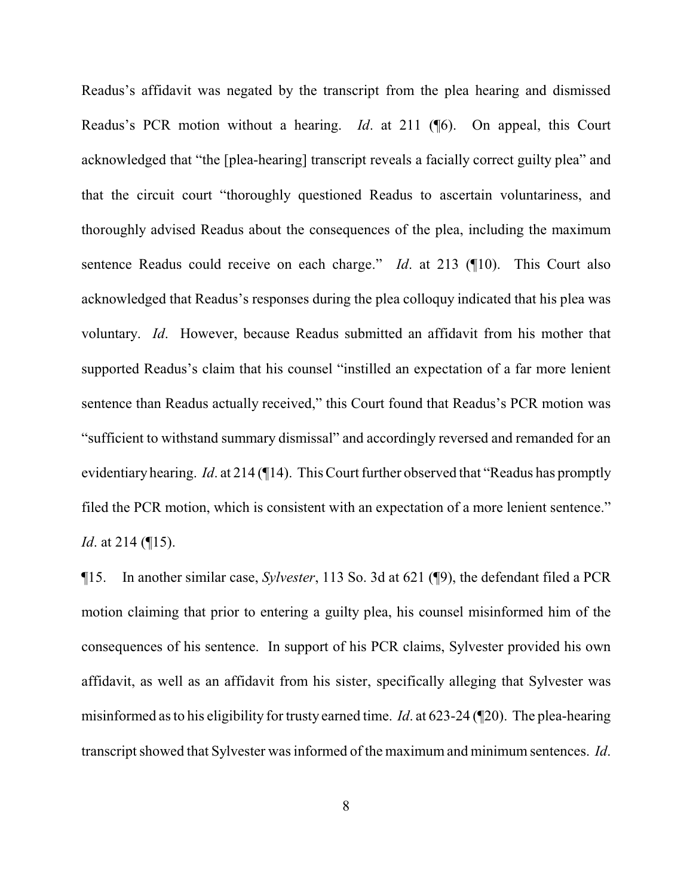Readus's affidavit was negated by the transcript from the plea hearing and dismissed Readus's PCR motion without a hearing. *Id*. at 211 (¶6). On appeal, this Court acknowledged that "the [plea-hearing] transcript reveals a facially correct guilty plea" and that the circuit court "thoroughly questioned Readus to ascertain voluntariness, and thoroughly advised Readus about the consequences of the plea, including the maximum sentence Readus could receive on each charge." *Id*. at 213 (¶10). This Court also acknowledged that Readus's responses during the plea colloquy indicated that his plea was voluntary. *Id*. However, because Readus submitted an affidavit from his mother that supported Readus's claim that his counsel "instilled an expectation of a far more lenient sentence than Readus actually received," this Court found that Readus's PCR motion was "sufficient to withstand summary dismissal" and accordingly reversed and remanded for an evidentiary hearing. *Id*. at 214 (¶14). This Court further observed that "Readus has promptly filed the PCR motion, which is consistent with an expectation of a more lenient sentence." *Id.* at 214 (¶15).

¶15. In another similar case, *Sylvester*, 113 So. 3d at 621 (¶9), the defendant filed a PCR motion claiming that prior to entering a guilty plea, his counsel misinformed him of the consequences of his sentence. In support of his PCR claims, Sylvester provided his own affidavit, as well as an affidavit from his sister, specifically alleging that Sylvester was misinformed as to his eligibility for trusty earned time. *Id*. at 623-24 (¶20). The plea-hearing transcript showed that Sylvester was informed of the maximum and minimum sentences. *Id*.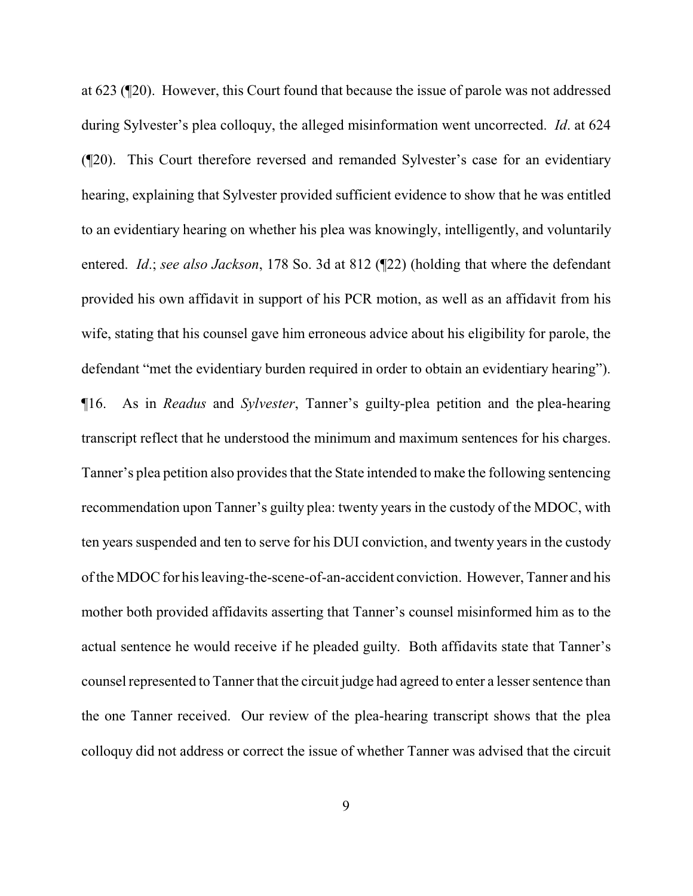at 623 (¶20). However, this Court found that because the issue of parole was not addressed during Sylvester's plea colloquy, the alleged misinformation went uncorrected. *Id*. at 624 (¶20). This Court therefore reversed and remanded Sylvester's case for an evidentiary hearing, explaining that Sylvester provided sufficient evidence to show that he was entitled to an evidentiary hearing on whether his plea was knowingly, intelligently, and voluntarily entered. *Id*.; *see also Jackson*, 178 So. 3d at 812 (¶22) (holding that where the defendant provided his own affidavit in support of his PCR motion, as well as an affidavit from his wife, stating that his counsel gave him erroneous advice about his eligibility for parole, the defendant "met the evidentiary burden required in order to obtain an evidentiary hearing"). ¶16. As in *Readus* and *Sylvester*, Tanner's guilty-plea petition and the plea-hearing transcript reflect that he understood the minimum and maximum sentences for his charges. Tanner's plea petition also provides that the State intended to make the following sentencing recommendation upon Tanner's guilty plea: twenty years in the custody of the MDOC, with ten years suspended and ten to serve for his DUI conviction, and twenty years in the custody of the MDOC for his leaving-the-scene-of-an-accident conviction. However, Tanner and his mother both provided affidavits asserting that Tanner's counsel misinformed him as to the actual sentence he would receive if he pleaded guilty. Both affidavits state that Tanner's counsel represented to Tanner that the circuit judge had agreed to enter a lesser sentence than the one Tanner received. Our review of the plea-hearing transcript shows that the plea colloquy did not address or correct the issue of whether Tanner was advised that the circuit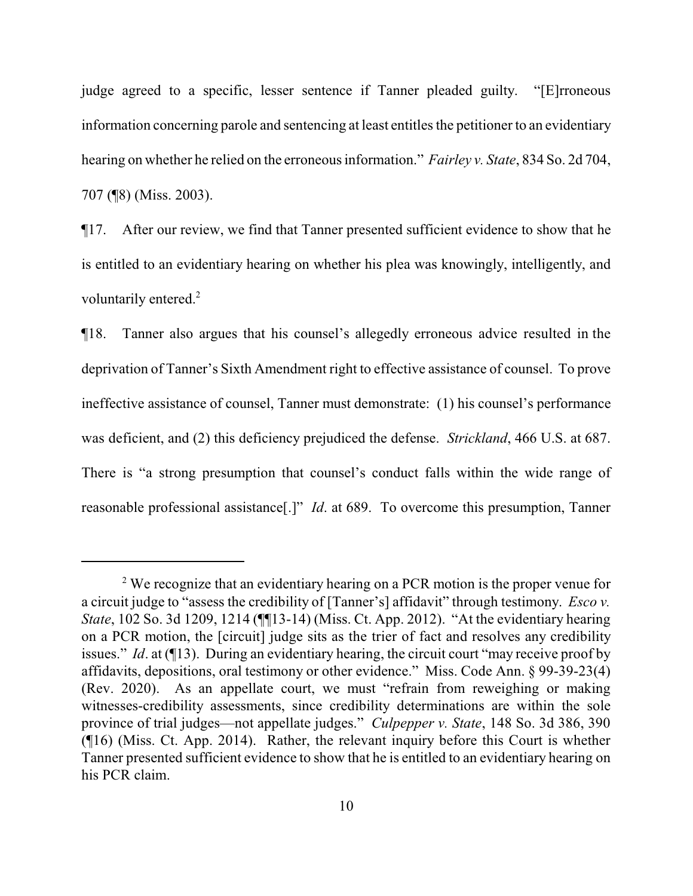judge agreed to a specific, lesser sentence if Tanner pleaded guilty. "[E]rroneous information concerning parole and sentencing at least entitles the petitioner to an evidentiary hearing on whether he relied on the erroneous information." *Fairley v. State*, 834 So. 2d 704, 707 (¶8) (Miss. 2003).

¶17. After our review, we find that Tanner presented sufficient evidence to show that he is entitled to an evidentiary hearing on whether his plea was knowingly, intelligently, and voluntarily entered.<sup>2</sup>

¶18. Tanner also argues that his counsel's allegedly erroneous advice resulted in the deprivation of Tanner's Sixth Amendment right to effective assistance of counsel. To prove ineffective assistance of counsel, Tanner must demonstrate: (1) his counsel's performance was deficient, and (2) this deficiency prejudiced the defense. *Strickland*, 466 U.S. at 687. There is "a strong presumption that counsel's conduct falls within the wide range of reasonable professional assistance[.]" *Id*. at 689. To overcome this presumption, Tanner

<sup>&</sup>lt;sup>2</sup> We recognize that an evidentiary hearing on a PCR motion is the proper venue for a circuit judge to "assess the credibility of [Tanner's] affidavit" through testimony. *Esco v. State*, 102 So. 3d 1209, 1214 (¶¶13-14) (Miss. Ct. App. 2012). "At the evidentiary hearing on a PCR motion, the [circuit] judge sits as the trier of fact and resolves any credibility issues." *Id*. at (¶13). During an evidentiary hearing, the circuit court "may receive proof by affidavits, depositions, oral testimony or other evidence." Miss. Code Ann. § 99-39-23(4) (Rev. 2020). As an appellate court, we must "refrain from reweighing or making witnesses-credibility assessments, since credibility determinations are within the sole province of trial judges—not appellate judges." *Culpepper v. State*, 148 So. 3d 386, 390 (¶16) (Miss. Ct. App. 2014). Rather, the relevant inquiry before this Court is whether Tanner presented sufficient evidence to show that he is entitled to an evidentiary hearing on his PCR claim.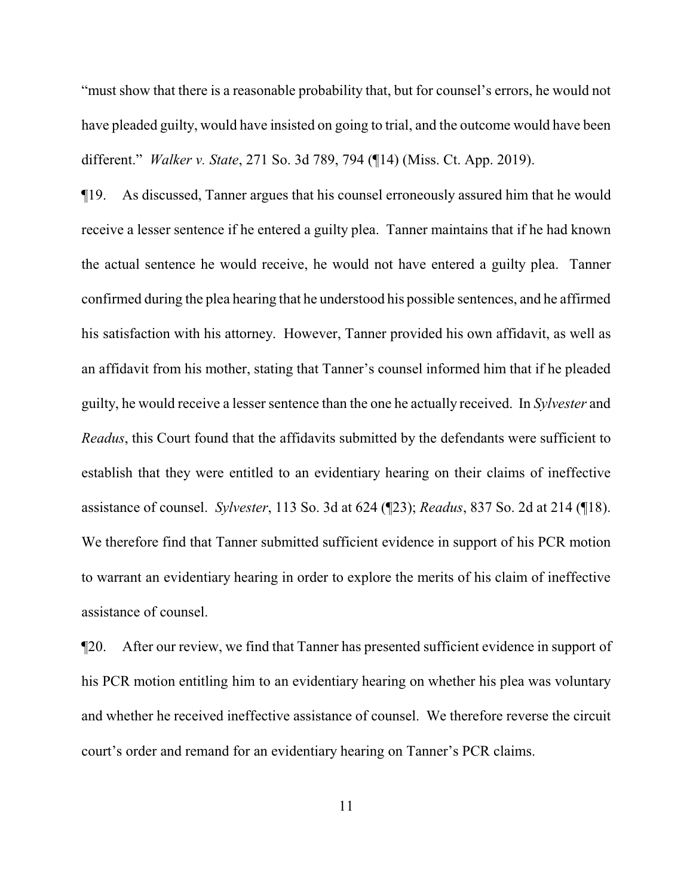"must show that there is a reasonable probability that, but for counsel's errors, he would not have pleaded guilty, would have insisted on going to trial, and the outcome would have been different." *Walker v. State*, 271 So. 3d 789, 794 (¶14) (Miss. Ct. App. 2019).

¶19. As discussed, Tanner argues that his counsel erroneously assured him that he would receive a lesser sentence if he entered a guilty plea. Tanner maintains that if he had known the actual sentence he would receive, he would not have entered a guilty plea. Tanner confirmed during the plea hearing that he understood his possible sentences, and he affirmed his satisfaction with his attorney. However, Tanner provided his own affidavit, as well as an affidavit from his mother, stating that Tanner's counsel informed him that if he pleaded guilty, he would receive a lesser sentence than the one he actually received. In *Sylvester* and *Readus*, this Court found that the affidavits submitted by the defendants were sufficient to establish that they were entitled to an evidentiary hearing on their claims of ineffective assistance of counsel. *Sylvester*, 113 So. 3d at 624 (¶23); *Readus*, 837 So. 2d at 214 (¶18). We therefore find that Tanner submitted sufficient evidence in support of his PCR motion to warrant an evidentiary hearing in order to explore the merits of his claim of ineffective assistance of counsel.

¶20. After our review, we find that Tanner has presented sufficient evidence in support of his PCR motion entitling him to an evidentiary hearing on whether his plea was voluntary and whether he received ineffective assistance of counsel. We therefore reverse the circuit court's order and remand for an evidentiary hearing on Tanner's PCR claims.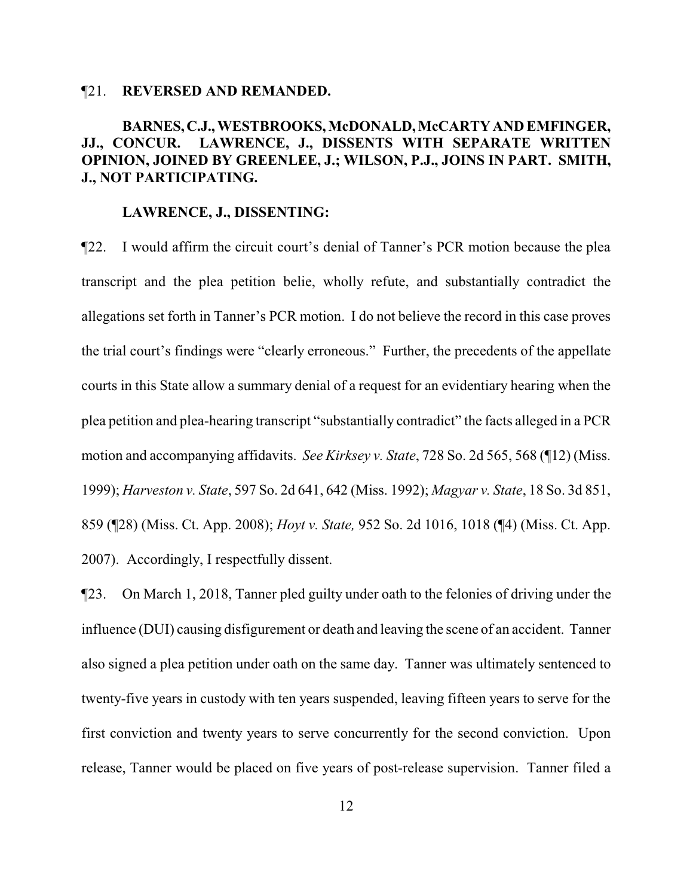#### ¶21. **REVERSED AND REMANDED.**

# **BARNES,C.J., WESTBROOKS, McDONALD, McCARTY AND EMFINGER, JJ., CONCUR. LAWRENCE, J., DISSENTS WITH SEPARATE WRITTEN OPINION, JOINED BY GREENLEE, J.; WILSON, P.J., JOINS IN PART. SMITH, J., NOT PARTICIPATING.**

#### **LAWRENCE, J., DISSENTING:**

¶22. I would affirm the circuit court's denial of Tanner's PCR motion because the plea transcript and the plea petition belie, wholly refute, and substantially contradict the allegations set forth in Tanner's PCR motion. I do not believe the record in this case proves the trial court's findings were "clearly erroneous." Further, the precedents of the appellate courts in this State allow a summary denial of a request for an evidentiary hearing when the plea petition and plea-hearing transcript "substantially contradict" the facts alleged in a PCR motion and accompanying affidavits. *See Kirksey v. State*, 728 So. 2d 565, 568 (¶12) (Miss. 1999); *Harveston v. State*, 597 So. 2d 641, 642 (Miss. 1992); *Magyar v. State*, 18 So. 3d 851, 859 (¶28) (Miss. Ct. App. 2008); *Hoyt v. State,* 952 So. 2d 1016, 1018 (¶4) (Miss. Ct. App. 2007). Accordingly, I respectfully dissent.

¶23. On March 1, 2018, Tanner pled guilty under oath to the felonies of driving under the influence (DUI) causing disfigurement or death and leaving the scene of an accident. Tanner also signed a plea petition under oath on the same day. Tanner was ultimately sentenced to twenty-five years in custody with ten years suspended, leaving fifteen years to serve for the first conviction and twenty years to serve concurrently for the second conviction. Upon release, Tanner would be placed on five years of post-release supervision. Tanner filed a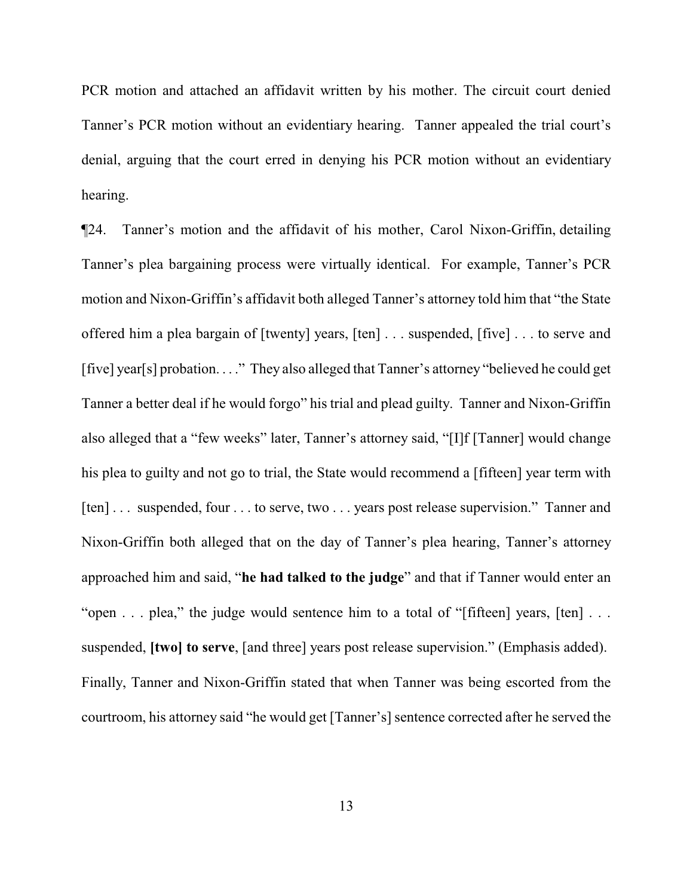PCR motion and attached an affidavit written by his mother. The circuit court denied Tanner's PCR motion without an evidentiary hearing. Tanner appealed the trial court's denial, arguing that the court erred in denying his PCR motion without an evidentiary hearing.

¶24. Tanner's motion and the affidavit of his mother, Carol Nixon-Griffin, detailing Tanner's plea bargaining process were virtually identical. For example, Tanner's PCR motion and Nixon-Griffin's affidavit both alleged Tanner's attorney told him that "the State offered him a plea bargain of [twenty] years, [ten] . . . suspended, [five] . . . to serve and [five] year[s] probation. . . ." They also alleged that Tanner's attorney "believed he could get Tanner a better deal if he would forgo" his trial and plead guilty. Tanner and Nixon-Griffin also alleged that a "few weeks" later, Tanner's attorney said, "[I]f [Tanner] would change his plea to guilty and not go to trial, the State would recommend a [fifteen] year term with [ten] . . . suspended, four . . . to serve, two . . . years post release supervision." Tanner and Nixon-Griffin both alleged that on the day of Tanner's plea hearing, Tanner's attorney approached him and said, "**he had talked to the judge**" and that if Tanner would enter an "open . . . plea," the judge would sentence him to a total of "[fifteen] years, [ten] . . . suspended, **[two] to serve**, [and three] years post release supervision." (Emphasis added). Finally, Tanner and Nixon-Griffin stated that when Tanner was being escorted from the courtroom, his attorney said "he would get [Tanner's] sentence corrected after he served the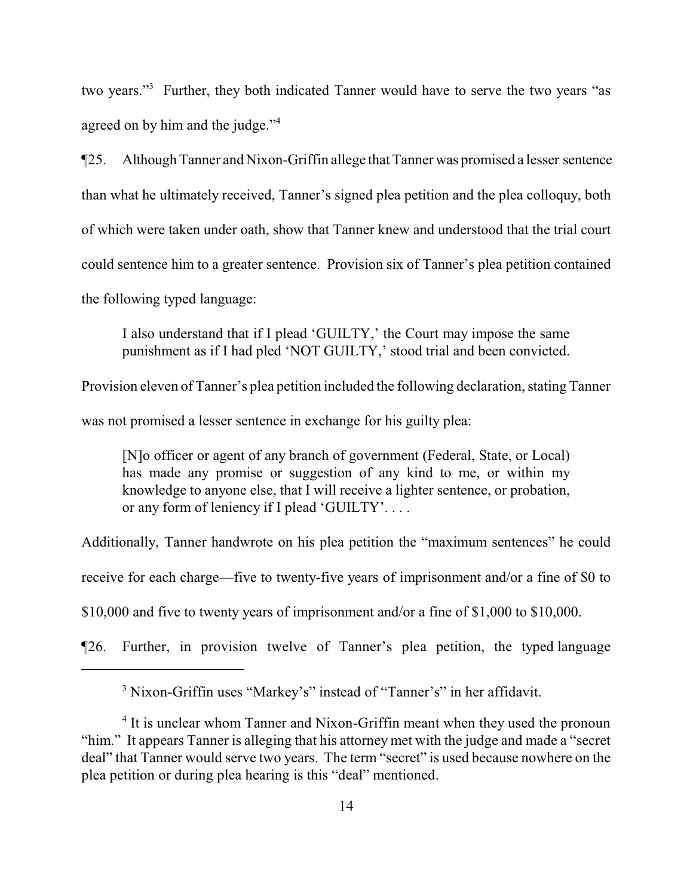two years."<sup>3</sup> Further, they both indicated Tanner would have to serve the two years "as agreed on by him and the judge."<sup>4</sup>

¶25. Although Tanner and Nixon-Griffin allege that Tanner was promised a lesser sentence than what he ultimately received, Tanner's signed plea petition and the plea colloquy, both of which were taken under oath, show that Tanner knew and understood that the trial court could sentence him to a greater sentence. Provision six of Tanner's plea petition contained the following typed language:

I also understand that if I plead 'GUILTY,' the Court may impose the same punishment as if I had pled 'NOT GUILTY,' stood trial and been convicted.

Provision eleven of Tanner's plea petition included the following declaration, stating Tanner

was not promised a lesser sentence in exchange for his guilty plea:

[N]o officer or agent of any branch of government (Federal, State, or Local) has made any promise or suggestion of any kind to me, or within my knowledge to anyone else, that I will receive a lighter sentence, or probation, or any form of leniency if I plead 'GUILTY'. . . .

Additionally, Tanner handwrote on his plea petition the "maximum sentences" he could

receive for each charge—five to twenty-five years of imprisonment and/or a fine of \$0 to

\$10,000 and five to twenty years of imprisonment and/or a fine of \$1,000 to \$10,000.

¶26. Further, in provision twelve of Tanner's plea petition, the typed language

<sup>&</sup>lt;sup>3</sup> Nixon-Griffin uses "Markey's" instead of "Tanner's" in her affidavit.

<sup>&</sup>lt;sup>4</sup> It is unclear whom Tanner and Nixon-Griffin meant when they used the pronoun "him." It appears Tanner is alleging that his attorney met with the judge and made a "secret deal" that Tanner would serve two years. The term "secret" is used because nowhere on the plea petition or during plea hearing is this "deal" mentioned.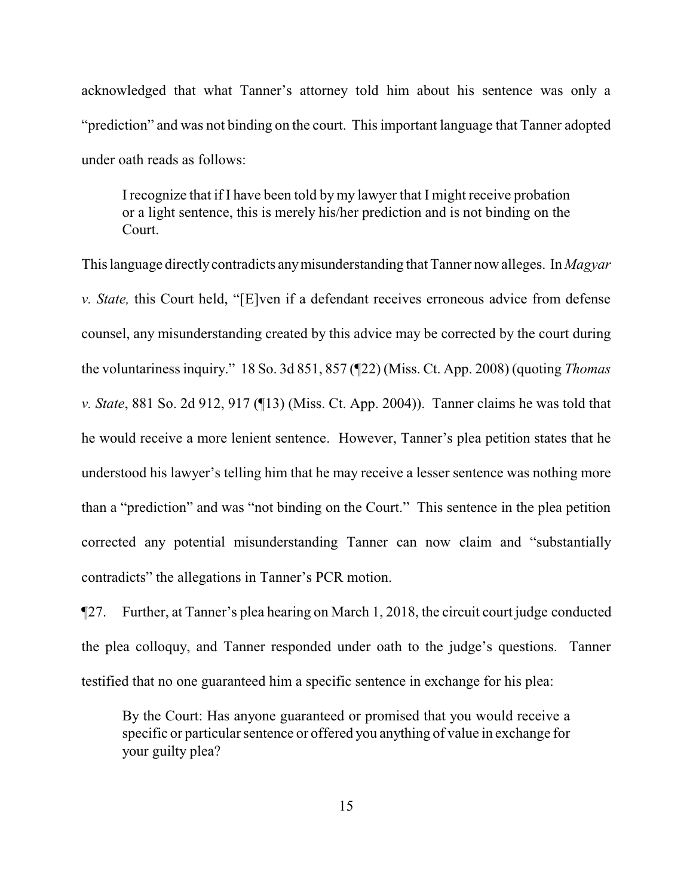acknowledged that what Tanner's attorney told him about his sentence was only a "prediction" and was not binding on the court. This important language that Tanner adopted under oath reads as follows:

I recognize that if I have been told by my lawyer that I might receive probation or a light sentence, this is merely his/her prediction and is not binding on the Court.

This language directlycontradicts anymisunderstanding that Tanner now alleges. In *Magyar v. State,* this Court held, "[E]ven if a defendant receives erroneous advice from defense counsel, any misunderstanding created by this advice may be corrected by the court during the voluntariness inquiry." 18 So. 3d 851, 857 (¶22) (Miss. Ct. App. 2008) (quoting *Thomas v. State*, 881 So. 2d 912, 917 (¶13) (Miss. Ct. App. 2004)). Tanner claims he was told that he would receive a more lenient sentence. However, Tanner's plea petition states that he understood his lawyer's telling him that he may receive a lesser sentence was nothing more than a "prediction" and was "not binding on the Court." This sentence in the plea petition corrected any potential misunderstanding Tanner can now claim and "substantially contradicts" the allegations in Tanner's PCR motion.

¶27. Further, at Tanner's plea hearing on March 1, 2018, the circuit court judge conducted the plea colloquy, and Tanner responded under oath to the judge's questions. Tanner testified that no one guaranteed him a specific sentence in exchange for his plea:

By the Court: Has anyone guaranteed or promised that you would receive a specific or particular sentence or offered you anything of value in exchange for your guilty plea?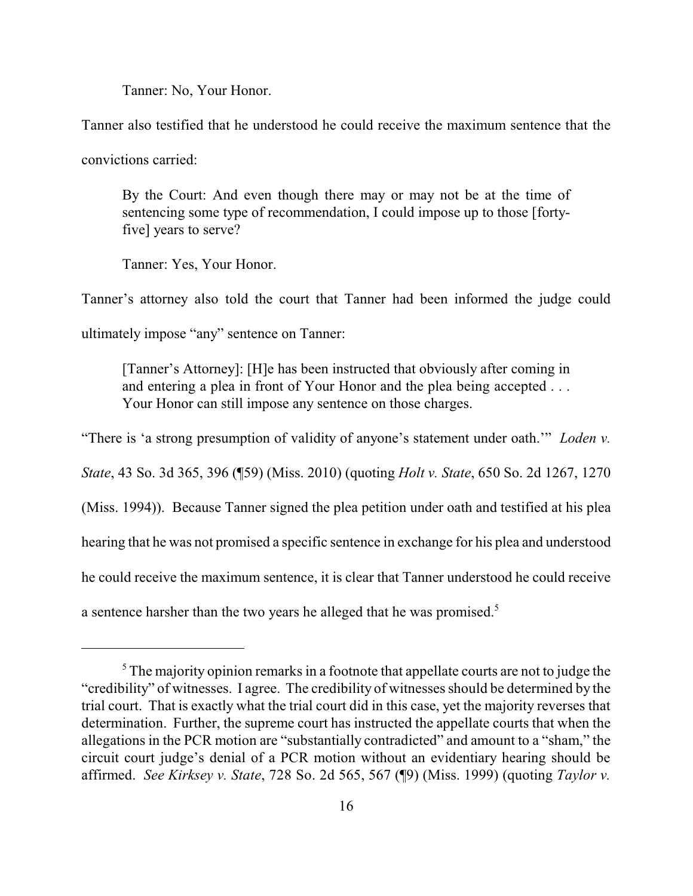Tanner: No, Your Honor.

Tanner also testified that he understood he could receive the maximum sentence that the

convictions carried:

By the Court: And even though there may or may not be at the time of sentencing some type of recommendation, I could impose up to those [fortyfive] years to serve?

Tanner: Yes, Your Honor.

Tanner's attorney also told the court that Tanner had been informed the judge could ultimately impose "any" sentence on Tanner:

[Tanner's Attorney]: [H]e has been instructed that obviously after coming in and entering a plea in front of Your Honor and the plea being accepted . . . Your Honor can still impose any sentence on those charges.

"There is 'a strong presumption of validity of anyone's statement under oath.'" *Loden v. State*, 43 So. 3d 365, 396 (¶59) (Miss. 2010) (quoting *Holt v. State*, 650 So. 2d 1267, 1270 (Miss. 1994)). Because Tanner signed the plea petition under oath and testified at his plea hearing that he was not promised a specific sentence in exchange for his plea and understood he could receive the maximum sentence, it is clear that Tanner understood he could receive a sentence harsher than the two years he alleged that he was promised.<sup>5</sup>

 $<sup>5</sup>$ The majority opinion remarks in a footnote that appellate courts are not to judge the</sup> "credibility" of witnesses. I agree. The credibility of witnesses should be determined by the trial court. That is exactly what the trial court did in this case, yet the majority reverses that determination. Further, the supreme court has instructed the appellate courts that when the allegations in the PCR motion are "substantially contradicted" and amount to a "sham," the circuit court judge's denial of a PCR motion without an evidentiary hearing should be affirmed. *See Kirksey v. State*, 728 So. 2d 565, 567 (¶9) (Miss. 1999) (quoting *Taylor v.*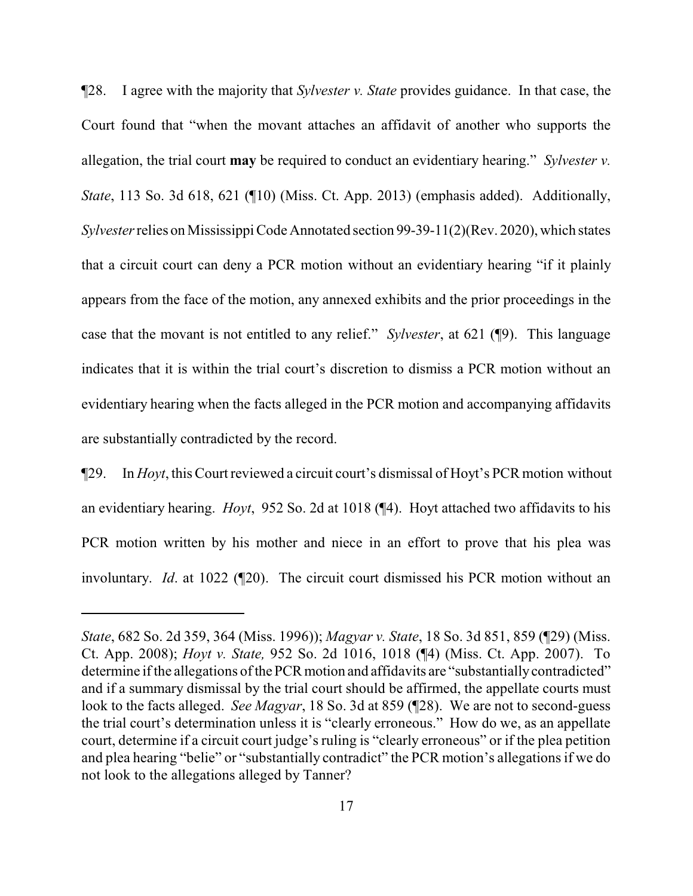¶28. I agree with the majority that *Sylvester v. State* provides guidance. In that case, the Court found that "when the movant attaches an affidavit of another who supports the allegation, the trial court **may** be required to conduct an evidentiary hearing." *Sylvester v. State*, 113 So. 3d 618, 621 (¶10) (Miss. Ct. App. 2013) (emphasis added). Additionally, *Sylvester*relies on Mississippi Code Annotated section 99-39-11(2)(Rev. 2020), which states that a circuit court can deny a PCR motion without an evidentiary hearing "if it plainly appears from the face of the motion, any annexed exhibits and the prior proceedings in the case that the movant is not entitled to any relief." *Sylvester*, at 621 (¶9). This language indicates that it is within the trial court's discretion to dismiss a PCR motion without an evidentiary hearing when the facts alleged in the PCR motion and accompanying affidavits are substantially contradicted by the record.

¶29. In *Hoyt*, this Court reviewed a circuit court's dismissal of Hoyt's PCR motion without an evidentiary hearing. *Hoyt*, 952 So. 2d at 1018 (¶4). Hoyt attached two affidavits to his PCR motion written by his mother and niece in an effort to prove that his plea was involuntary. *Id*. at 1022 (¶20). The circuit court dismissed his PCR motion without an

*State*, 682 So. 2d 359, 364 (Miss. 1996)); *Magyar v. State*, 18 So. 3d 851, 859 (¶29) (Miss. Ct. App. 2008); *Hoyt v. State,* 952 So. 2d 1016, 1018 (¶4) (Miss. Ct. App. 2007). To determine if the allegations of the PCR motion and affidavits are "substantially contradicted" and if a summary dismissal by the trial court should be affirmed, the appellate courts must look to the facts alleged. *See Magyar*, 18 So. 3d at 859 (¶28). We are not to second-guess the trial court's determination unless it is "clearly erroneous." How do we, as an appellate court, determine if a circuit court judge's ruling is "clearly erroneous" or if the plea petition and plea hearing "belie" or "substantially contradict" the PCR motion's allegations if we do not look to the allegations alleged by Tanner?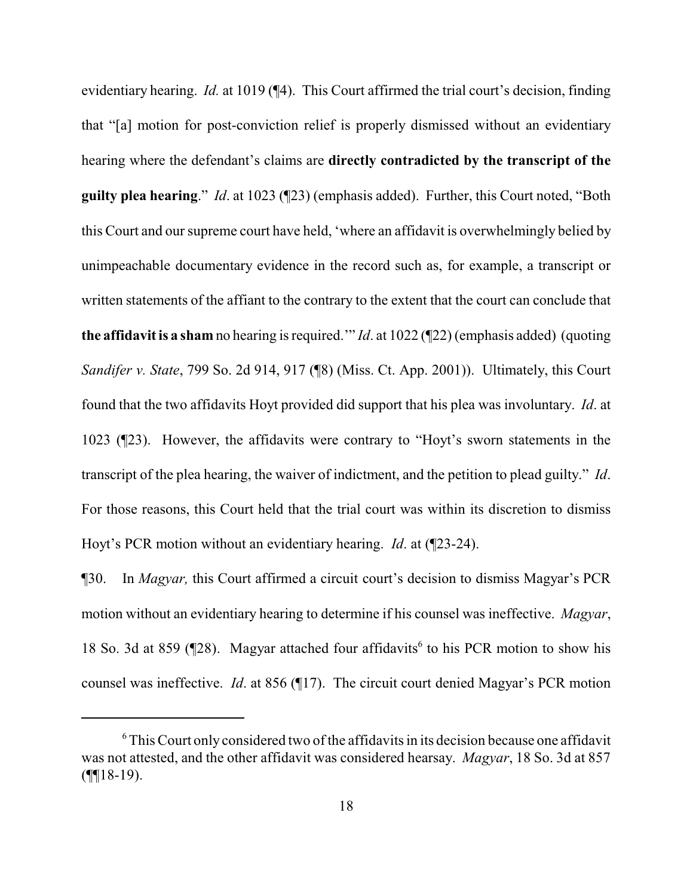evidentiary hearing. *Id.* at 1019 (¶4). This Court affirmed the trial court's decision, finding that "[a] motion for post-conviction relief is properly dismissed without an evidentiary hearing where the defendant's claims are **directly contradicted by the transcript of the guilty plea hearing**." *Id*. at 1023 (¶23) (emphasis added). Further, this Court noted, "Both this Court and our supreme court have held, 'where an affidavit is overwhelmingly belied by unimpeachable documentary evidence in the record such as, for example, a transcript or written statements of the affiant to the contrary to the extent that the court can conclude that **the affidavit is a sham** no hearing is required.'" *Id*. at 1022 (¶22) (emphasis added) (quoting *Sandifer v. State*, 799 So. 2d 914, 917 (¶8) (Miss. Ct. App. 2001)). Ultimately, this Court found that the two affidavits Hoyt provided did support that his plea was involuntary. *Id*. at 1023 (¶23). However, the affidavits were contrary to "Hoyt's sworn statements in the transcript of the plea hearing, the waiver of indictment, and the petition to plead guilty." *Id*. For those reasons, this Court held that the trial court was within its discretion to dismiss Hoyt's PCR motion without an evidentiary hearing. *Id*. at (¶23-24).

¶30. In *Magyar,* this Court affirmed a circuit court's decision to dismiss Magyar's PCR motion without an evidentiary hearing to determine if his counsel was ineffective. *Magyar*, 18 So. 3d at 859 ( $\P$ 28). Magyar attached four affidavits<sup>6</sup> to his PCR motion to show his counsel was ineffective. *Id*. at 856 (¶17). The circuit court denied Magyar's PCR motion

 $6$  This Court only considered two of the affidavits in its decision because one affidavit was not attested, and the other affidavit was considered hearsay. *Magyar*, 18 So. 3d at 857  $($ ¶[18-19).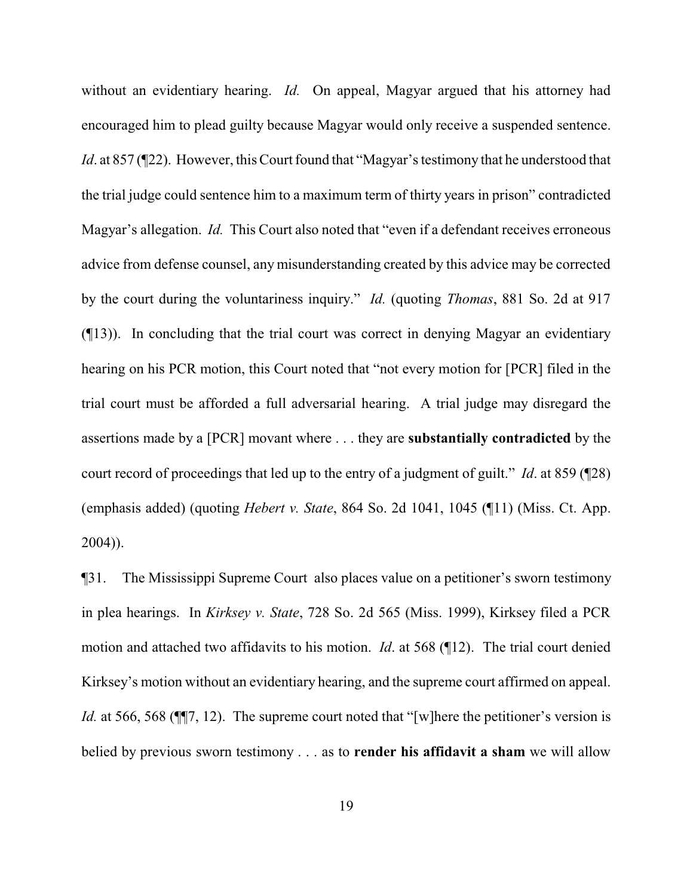without an evidentiary hearing. *Id.* On appeal, Magyar argued that his attorney had encouraged him to plead guilty because Magyar would only receive a suspended sentence. *Id.* at 857 (¶22). However, this Court found that "Magyar's testimony that he understood that the trial judge could sentence him to a maximum term of thirty years in prison" contradicted Magyar's allegation. *Id.* This Court also noted that "even if a defendant receives erroneous advice from defense counsel, any misunderstanding created by this advice may be corrected by the court during the voluntariness inquiry." *Id.* (quoting *Thomas*, 881 So. 2d at 917 (¶13)). In concluding that the trial court was correct in denying Magyar an evidentiary hearing on his PCR motion, this Court noted that "not every motion for [PCR] filed in the trial court must be afforded a full adversarial hearing. A trial judge may disregard the assertions made by a [PCR] movant where . . . they are **substantially contradicted** by the court record of proceedings that led up to the entry of a judgment of guilt." *Id*. at 859 (¶28) (emphasis added) (quoting *Hebert v. State*, 864 So. 2d 1041, 1045 (¶11) (Miss. Ct. App. 2004)).

¶31. The Mississippi Supreme Court also places value on a petitioner's sworn testimony in plea hearings. In *Kirksey v. State*, 728 So. 2d 565 (Miss. 1999), Kirksey filed a PCR motion and attached two affidavits to his motion. *Id*. at 568 (¶12). The trial court denied Kirksey's motion without an evidentiary hearing, and the supreme court affirmed on appeal. *Id.* at 566, 568 ( $\P$ , 12). The supreme court noted that "[w] here the petitioner's version is belied by previous sworn testimony . . . as to **render his affidavit a sham** we will allow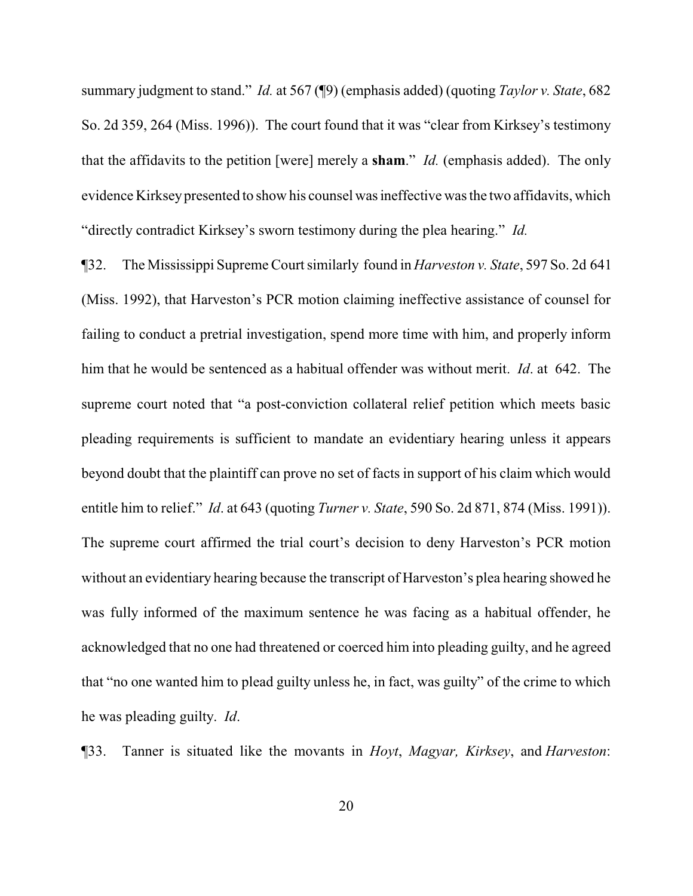summary judgment to stand." *Id.* at 567 (¶9) (emphasis added) (quoting *Taylor v. State*, 682 So. 2d 359, 264 (Miss. 1996)). The court found that it was "clear from Kirksey's testimony that the affidavits to the petition [were] merely a **sham**." *Id.* (emphasis added). The only evidence Kirkseypresented to show his counsel was ineffective was the two affidavits, which "directly contradict Kirksey's sworn testimony during the plea hearing." *Id.*

¶32. The Mississippi Supreme Court similarly found in *Harveston v. State*, 597 So. 2d 641 (Miss. 1992), that Harveston's PCR motion claiming ineffective assistance of counsel for failing to conduct a pretrial investigation, spend more time with him, and properly inform him that he would be sentenced as a habitual offender was without merit. *Id*. at 642. The supreme court noted that "a post-conviction collateral relief petition which meets basic pleading requirements is sufficient to mandate an evidentiary hearing unless it appears beyond doubt that the plaintiff can prove no set of facts in support of his claim which would entitle him to relief." *Id*. at 643 (quoting *Turner v. State*, 590 So. 2d 871, 874 (Miss. 1991)). The supreme court affirmed the trial court's decision to deny Harveston's PCR motion without an evidentiary hearing because the transcript of Harveston's plea hearing showed he was fully informed of the maximum sentence he was facing as a habitual offender, he acknowledged that no one had threatened or coerced him into pleading guilty, and he agreed that "no one wanted him to plead guilty unless he, in fact, was guilty" of the crime to which he was pleading guilty. *Id*.

¶33. Tanner is situated like the movants in *Hoyt*, *Magyar, Kirksey*, and *Harveston*: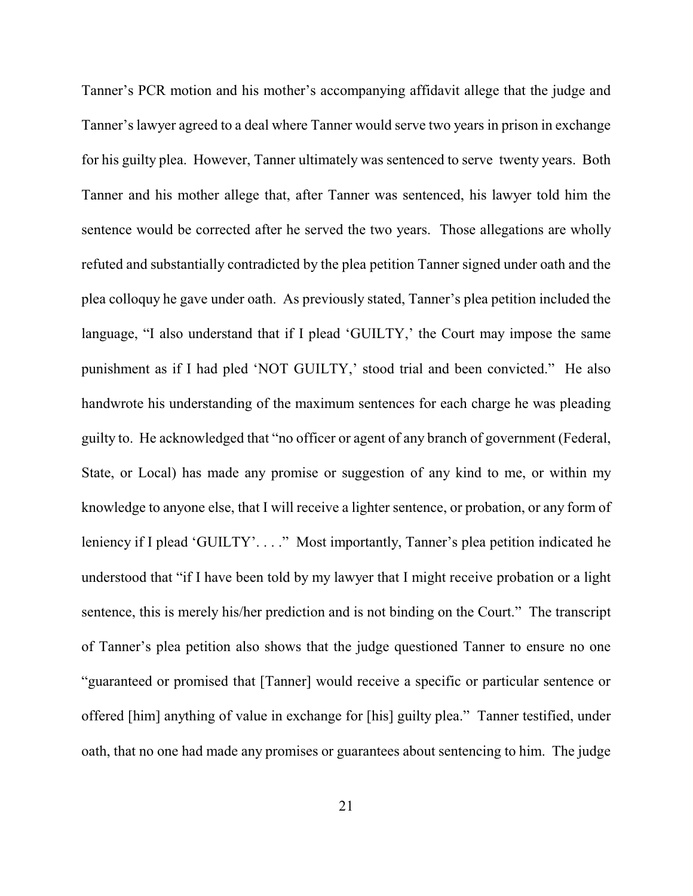Tanner's PCR motion and his mother's accompanying affidavit allege that the judge and Tanner's lawyer agreed to a deal where Tanner would serve two years in prison in exchange for his guilty plea. However, Tanner ultimately was sentenced to serve twenty years. Both Tanner and his mother allege that, after Tanner was sentenced, his lawyer told him the sentence would be corrected after he served the two years. Those allegations are wholly refuted and substantially contradicted by the plea petition Tanner signed under oath and the plea colloquy he gave under oath. As previously stated, Tanner's plea petition included the language, "I also understand that if I plead 'GUILTY,' the Court may impose the same punishment as if I had pled 'NOT GUILTY,' stood trial and been convicted." He also handwrote his understanding of the maximum sentences for each charge he was pleading guilty to. He acknowledged that "no officer or agent of any branch of government (Federal, State, or Local) has made any promise or suggestion of any kind to me, or within my knowledge to anyone else, that I will receive a lighter sentence, or probation, or any form of leniency if I plead 'GUILTY'. . . ." Most importantly, Tanner's plea petition indicated he understood that "if I have been told by my lawyer that I might receive probation or a light sentence, this is merely his/her prediction and is not binding on the Court." The transcript of Tanner's plea petition also shows that the judge questioned Tanner to ensure no one "guaranteed or promised that [Tanner] would receive a specific or particular sentence or offered [him] anything of value in exchange for [his] guilty plea." Tanner testified, under oath, that no one had made any promises or guarantees about sentencing to him. The judge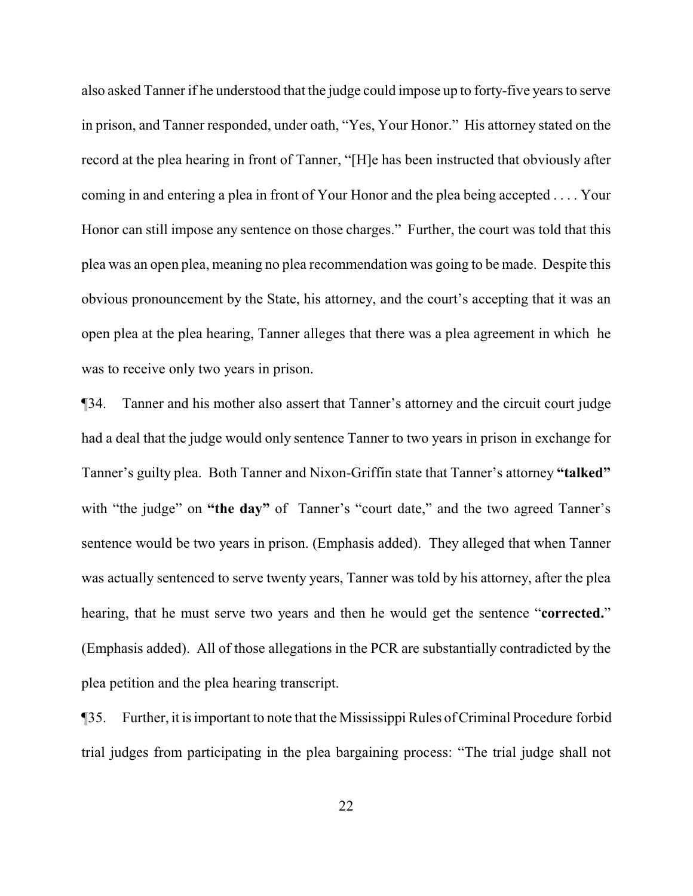also asked Tanner if he understood that the judge could impose up to forty-five years to serve in prison, and Tanner responded, under oath, "Yes, Your Honor." His attorney stated on the record at the plea hearing in front of Tanner, "[H]e has been instructed that obviously after coming in and entering a plea in front of Your Honor and the plea being accepted . . . . Your Honor can still impose any sentence on those charges." Further, the court was told that this plea was an open plea, meaning no plea recommendation was going to be made. Despite this obvious pronouncement by the State, his attorney, and the court's accepting that it was an open plea at the plea hearing, Tanner alleges that there was a plea agreement in which he was to receive only two years in prison.

¶34. Tanner and his mother also assert that Tanner's attorney and the circuit court judge had a deal that the judge would only sentence Tanner to two years in prison in exchange for Tanner's guilty plea. Both Tanner and Nixon-Griffin state that Tanner's attorney **"talked"** with "the judge" on "the day" of Tanner's "court date," and the two agreed Tanner's sentence would be two years in prison. (Emphasis added). They alleged that when Tanner was actually sentenced to serve twenty years, Tanner was told by his attorney, after the plea hearing, that he must serve two years and then he would get the sentence "**corrected.**" (Emphasis added). All of those allegations in the PCR are substantially contradicted by the plea petition and the plea hearing transcript.

¶35. Further, it is important to note that the Mississippi Rules ofCriminal Procedure forbid trial judges from participating in the plea bargaining process: "The trial judge shall not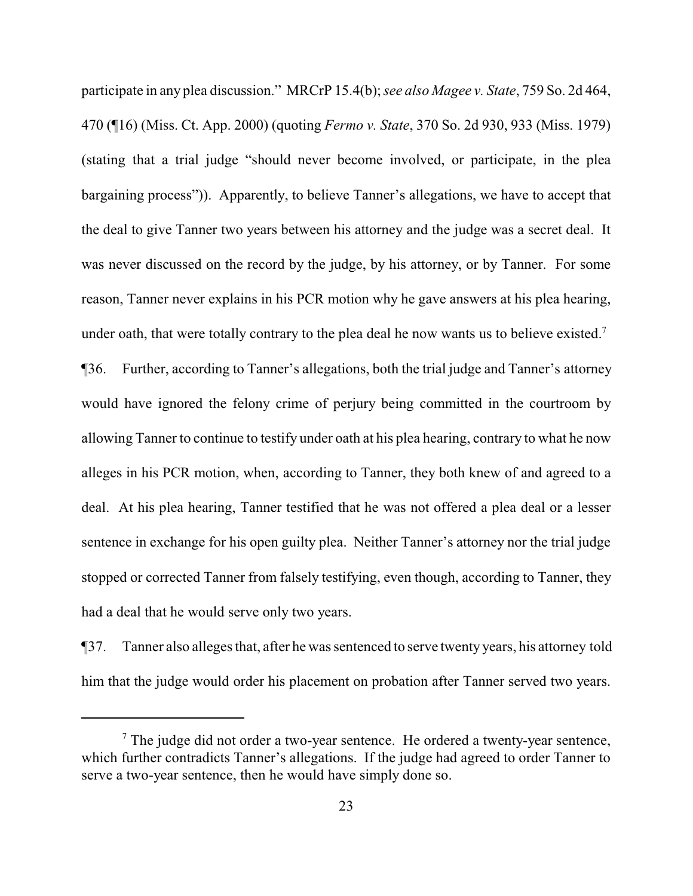participate in any plea discussion." MRCrP 15.4(b); *see also Magee v. State*, 759 So. 2d 464, 470 (¶16) (Miss. Ct. App. 2000) (quoting *Fermo v. State*, 370 So. 2d 930, 933 (Miss. 1979) (stating that a trial judge "should never become involved, or participate, in the plea bargaining process")). Apparently, to believe Tanner's allegations, we have to accept that the deal to give Tanner two years between his attorney and the judge was a secret deal. It was never discussed on the record by the judge, by his attorney, or by Tanner. For some reason, Tanner never explains in his PCR motion why he gave answers at his plea hearing, under oath, that were totally contrary to the plea deal he now wants us to believe existed.<sup>7</sup>

¶36. Further, according to Tanner's allegations, both the trial judge and Tanner's attorney would have ignored the felony crime of perjury being committed in the courtroom by allowing Tanner to continue to testify under oath at his plea hearing, contrary to what he now alleges in his PCR motion, when, according to Tanner, they both knew of and agreed to a deal. At his plea hearing, Tanner testified that he was not offered a plea deal or a lesser sentence in exchange for his open guilty plea. Neither Tanner's attorney nor the trial judge stopped or corrected Tanner from falsely testifying, even though, according to Tanner, they had a deal that he would serve only two years.

¶37. Tanner also alleges that, after he was sentenced to serve twenty years, his attorney told him that the judge would order his placement on probation after Tanner served two years.

 $<sup>7</sup>$  The judge did not order a two-year sentence. He ordered a twenty-year sentence,</sup> which further contradicts Tanner's allegations. If the judge had agreed to order Tanner to serve a two-year sentence, then he would have simply done so.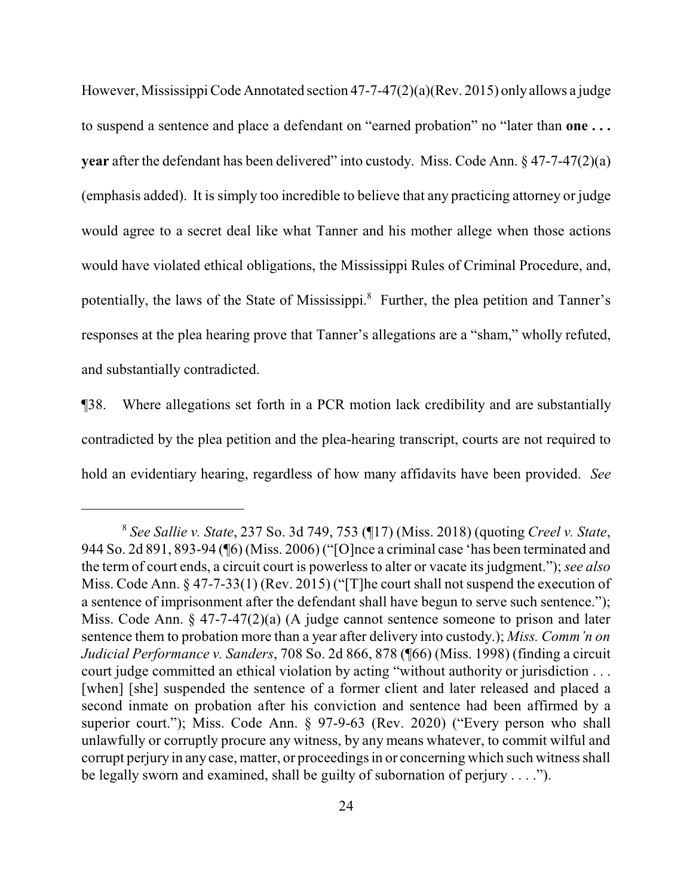However, Mississippi Code Annotated section 47-7-47(2)(a)(Rev. 2015) only allows a judge to suspend a sentence and place a defendant on "earned probation" no "later than **one . . . year** after the defendant has been delivered" into custody. Miss. Code Ann. § 47-7-47(2)(a) (emphasis added). It is simply too incredible to believe that any practicing attorney or judge would agree to a secret deal like what Tanner and his mother allege when those actions would have violated ethical obligations, the Mississippi Rules of Criminal Procedure, and, potentially, the laws of the State of Mississippi.<sup>8</sup> Further, the plea petition and Tanner's responses at the plea hearing prove that Tanner's allegations are a "sham," wholly refuted, and substantially contradicted.

¶38. Where allegations set forth in a PCR motion lack credibility and are substantially contradicted by the plea petition and the plea-hearing transcript, courts are not required to hold an evidentiary hearing, regardless of how many affidavits have been provided. *See*

<sup>8</sup> *See Sallie v. State*, 237 So. 3d 749, 753 (¶17) (Miss. 2018) (quoting *Creel v. State*, 944 So. 2d 891, 893-94 (¶6) (Miss. 2006) ("[O]nce a criminal case 'has been terminated and the term of court ends, a circuit court is powerless to alter or vacate its judgment."); *see also* Miss. Code Ann. § 47-7-33(1) (Rev. 2015) ("[T]he court shall not suspend the execution of a sentence of imprisonment after the defendant shall have begun to serve such sentence."); Miss. Code Ann. § 47-7-47(2)(a) (A judge cannot sentence someone to prison and later sentence them to probation more than a year after delivery into custody.); *Miss. Comm'n on Judicial Performance v. Sanders*, 708 So. 2d 866, 878 (¶66) (Miss. 1998) (finding a circuit court judge committed an ethical violation by acting "without authority or jurisdiction . . . [when] [she] suspended the sentence of a former client and later released and placed a second inmate on probation after his conviction and sentence had been affirmed by a superior court."); Miss. Code Ann. § 97-9-63 (Rev. 2020) ("Every person who shall unlawfully or corruptly procure any witness, by any means whatever, to commit wilful and corrupt perjury in any case, matter, or proceedings in or concerning which such witness shall be legally sworn and examined, shall be guilty of subornation of perjury . . . .").